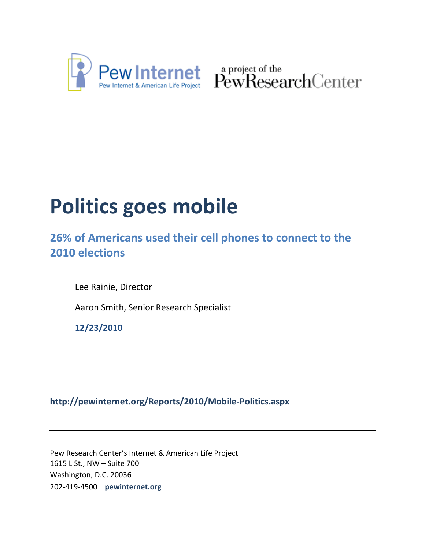

Pew Internet & American Life Project PewResearchCenter

# **Politics goes mobile**

**26% of Americans used their cell phones to connect to the 2010 elections**

Lee Rainie, Director

Aaron Smith, Senior Research Specialist

**12/23/2010**

# **<http://pewinternet.org/Reports/2010/Mobile-Politics.aspx>**

Pew Research Center's Internet & American Life Project 1615 L St., NW – Suite 700 Washington, D.C. 20036 202-419-4500 | **pewinternet.org**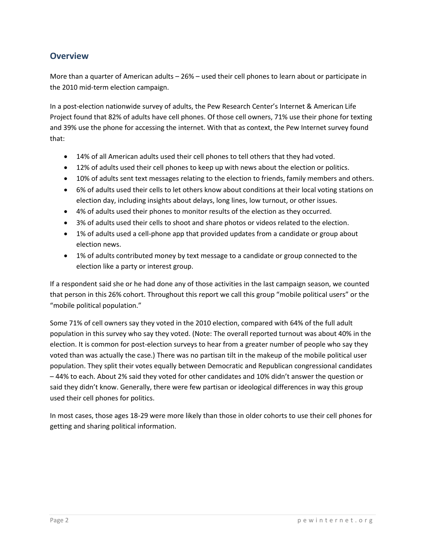#### **Overview**

More than a quarter of American adults – 26% – used their cell phones to learn about or participate in the 2010 mid-term election campaign.

In a post-election nationwide survey of adults, the Pew Research Center's Internet & American Life Project found that 82% of adults have cell phones. Of those cell owners, 71% use their phone for texting and 39% use the phone for accessing the internet. With that as context, the Pew Internet survey found that:

- 14% of all American adults used their cell phones to tell others that they had voted.
- 12% of adults used their cell phones to keep up with news about the election or politics.
- 10% of adults sent text messages relating to the election to friends, family members and others.
- 6% of adults used their cells to let others know about conditions at their local voting stations on election day, including insights about delays, long lines, low turnout, or other issues.
- 4% of adults used their phones to monitor results of the election as they occurred.
- 3% of adults used their cells to shoot and share photos or videos related to the election.
- 1% of adults used a cell-phone app that provided updates from a candidate or group about election news.
- 1% of adults contributed money by text message to a candidate or group connected to the election like a party or interest group.

If a respondent said she or he had done any of those activities in the last campaign season, we counted that person in this 26% cohort. Throughout this report we call this group "mobile political users" or the "mobile political population."

Some 71% of cell owners say they voted in the 2010 election, compared with 64% of the full adult population in this survey who say they voted. (Note: The overall reported turnout was about 40% in the election. It is common for post-election surveys to hear from a greater number of people who say they voted than was actually the case.) There was no partisan tilt in the makeup of the mobile political user population. They split their votes equally between Democratic and Republican congressional candidates – 44% to each. About 2% said they voted for other candidates and 10% didn't answer the question or said they didn't know. Generally, there were few partisan or ideological differences in way this group used their cell phones for politics.

In most cases, those ages 18-29 were more likely than those in older cohorts to use their cell phones for getting and sharing political information.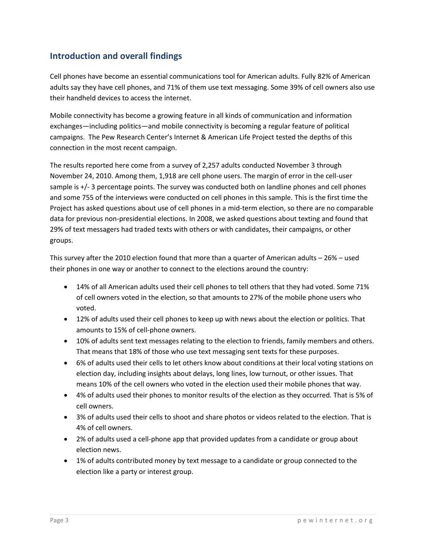## **Introduction and overall findings**

Cell phones have become an essential communications tool for American adults. Fully 82% of American adults say they have cell phones, and 71% of them use text messaging. Some 39% of cell owners also use their handheld devices to access the internet.

Mobile connectivity has become a growing feature in all kinds of communication and information exchanges—including politics—and mobile connectivity is becoming a regular feature of political campaigns. The Pew Research Center's Internet & American Life Project tested the depths of this connection in the most recent campaign.

The results reported here come from a survey of 2,257 adults conducted November 3 through November 24, 2010. Among them, 1,918 are cell phone users. The margin of error in the cell-user sample is +/- 3 percentage points. The survey was conducted both on landline phones and cell phones and some 755 of the interviews were conducted on cell phones in this sample. This is the first time the Project has asked questions about use of cell phones in a mid-term election, so there are no comparable data for previous non-presidential elections. In 2008, we asked questions about texting and found that 29% of text messagers had traded texts with others or with candidates, their campaigns, or other groups.

This survey after the 2010 election found that more than a quarter of American adults – 26% – used their phones in one way or another to connect to the elections around the country:

- 14% of all American adults used their cell phones to tell others that they had voted. Some 71% of cell owners voted in the election, so that amounts to 27% of the mobile phone users who voted.
- 12% of adults used their cell phones to keep up with news about the election or politics. That amounts to 15% of cell-phone owners.
- 10% of adults sent text messages relating to the election to friends, family members and others. That means that 18% of those who use text messaging sent texts for these purposes.
- 6% of adults used their cells to let others know about conditions at their local voting stations on election day, including insights about delays, long lines, low turnout, or other issues. That means 10% of the cell owners who voted in the election used their mobile phones that way.
- 4% of adults used their phones to monitor results of the election as they occurred. That is 5% of cell owners.
- 3% of adults used their cells to shoot and share photos or videos related to the election. That is 4% of cell owners.
- 2% of adults used a cell-phone app that provided updates from a candidate or group about election news.
- 1% of adults contributed money by text message to a candidate or group connected to the election like a party or interest group.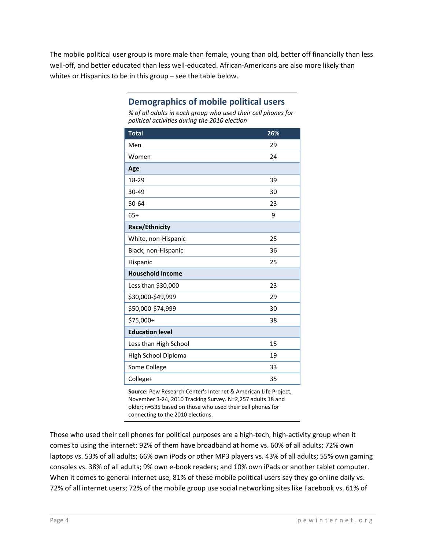The mobile political user group is more male than female, young than old, better off financially than less well-off, and better educated than less well-educated. African-Americans are also more likely than whites or Hispanics to be in this group – see the table below.

| political activities during the 2010 election |     |
|-----------------------------------------------|-----|
| <b>Total</b>                                  | 26% |
| Men                                           | 29  |
| Women                                         | 24  |
| Age                                           |     |
| 18-29                                         | 39  |
| 30-49                                         | 30  |
| 50-64                                         | 23  |
| $65+$                                         | 9   |
| Race/Ethnicity                                |     |
| White, non-Hispanic                           | 25  |
| Black, non-Hispanic                           | 36  |
| Hispanic                                      | 25  |
| <b>Household Income</b>                       |     |
| Less than \$30,000                            | 23  |
| \$30,000-\$49,999                             | 29  |
| \$50,000-\$74,999                             | 30  |
| \$75,000+                                     | 38  |
| <b>Education level</b>                        |     |
| Less than High School                         | 15  |
| High School Diploma                           | 19  |
| Some College                                  | 33  |
| College+                                      | 35  |

#### **Demographics of mobile political users**

*% of all adults in each group who used their cell phones for political activities during the 2010 election*

**Source:** Pew Research Center's Internet & American Life Project, November 3-24, 2010 Tracking Survey. N=2,257 adults 18 and older; n=535 based on those who used their cell phones for connecting to the 2010 elections.

Those who used their cell phones for political purposes are a high-tech, high-activity group when it comes to using the internet: 92% of them have broadband at home vs. 60% of all adults; 72% own laptops vs. 53% of all adults; 66% own iPods or other MP3 players vs. 43% of all adults; 55% own gaming consoles vs. 38% of all adults; 9% own e-book readers; and 10% own iPads or another tablet computer. When it comes to general internet use, 81% of these mobile political users say they go online daily vs. 72% of all internet users; 72% of the mobile group use social networking sites like Facebook vs. 61% of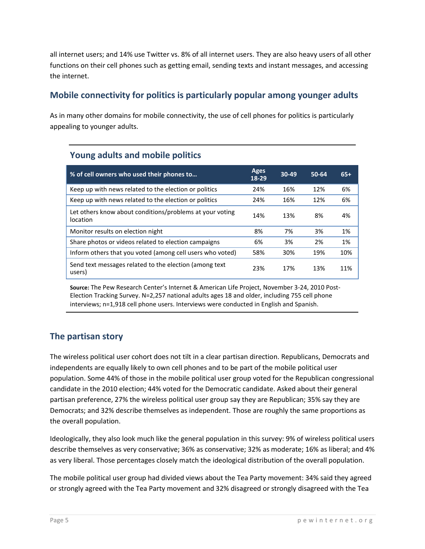all internet users; and 14% use Twitter vs. 8% of all internet users. They are also heavy users of all other functions on their cell phones such as getting email, sending texts and instant messages, and accessing the internet.

## **Mobile connectivity for politics is particularly popular among younger adults**

As in many other domains for mobile connectivity, the use of cell phones for politics is particularly appealing to younger adults.

|  |  |  |  | <b>Young adults and mobile politics</b> |
|--|--|--|--|-----------------------------------------|
|--|--|--|--|-----------------------------------------|

| % of cell owners who used their phones to                            |     | 30-49 | $50-64$ | $65+$ |
|----------------------------------------------------------------------|-----|-------|---------|-------|
| Keep up with news related to the election or politics                | 24% | 16%   | 12%     | 6%    |
| Keep up with news related to the election or politics                | 24% | 16%   | 12%     | 6%    |
| Let others know about conditions/problems at your voting<br>location | 14% | 13%   | 8%      | 4%    |
| Monitor results on election night                                    | 8%  | 7%    | 3%      | 1%    |
| Share photos or videos related to election campaigns                 | 6%  | 3%    | 2%      | 1%    |
| Inform others that you voted (among cell users who voted)            | 58% | 30%   | 19%     | 10%   |
| Send text messages related to the election (among text<br>users)     | 23% | 17%   | 13%     | 11%   |

**Source:** The Pew Research Center's Internet & American Life Project, November 3-24, 2010 Post-Election Tracking Survey. N=2,257 national adults ages 18 and older, including 755 cell phone interviews; n=1,918 cell phone users. Interviews were conducted in English and Spanish.

## **The partisan story**

The wireless political user cohort does not tilt in a clear partisan direction. Republicans, Democrats and independents are equally likely to own cell phones and to be part of the mobile political user population. Some 44% of those in the mobile political user group voted for the Republican congressional candidate in the 2010 election; 44% voted for the Democratic candidate. Asked about their general partisan preference, 27% the wireless political user group say they are Republican; 35% say they are Democrats; and 32% describe themselves as independent. Those are roughly the same proportions as the overall population.

Ideologically, they also look much like the general population in this survey: 9% of wireless political users describe themselves as very conservative; 36% as conservative; 32% as moderate; 16% as liberal; and 4% as very liberal. Those percentages closely match the ideological distribution of the overall population.

The mobile political user group had divided views about the Tea Party movement: 34% said they agreed or strongly agreed with the Tea Party movement and 32% disagreed or strongly disagreed with the Tea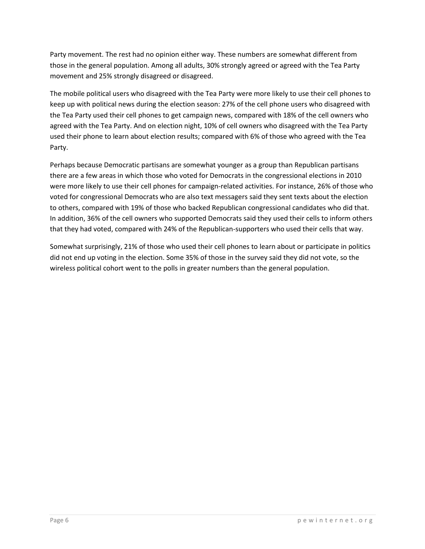Party movement. The rest had no opinion either way. These numbers are somewhat different from those in the general population. Among all adults, 30% strongly agreed or agreed with the Tea Party movement and 25% strongly disagreed or disagreed.

The mobile political users who disagreed with the Tea Party were more likely to use their cell phones to keep up with political news during the election season: 27% of the cell phone users who disagreed with the Tea Party used their cell phones to get campaign news, compared with 18% of the cell owners who agreed with the Tea Party. And on election night, 10% of cell owners who disagreed with the Tea Party used their phone to learn about election results; compared with 6% of those who agreed with the Tea Party.

Perhaps because Democratic partisans are somewhat younger as a group than Republican partisans there are a few areas in which those who voted for Democrats in the congressional elections in 2010 were more likely to use their cell phones for campaign-related activities. For instance, 26% of those who voted for congressional Democrats who are also text messagers said they sent texts about the election to others, compared with 19% of those who backed Republican congressional candidates who did that. In addition, 36% of the cell owners who supported Democrats said they used their cells to inform others that they had voted, compared with 24% of the Republican-supporters who used their cells that way.

Somewhat surprisingly, 21% of those who used their cell phones to learn about or participate in politics did not end up voting in the election. Some 35% of those in the survey said they did not vote, so the wireless political cohort went to the polls in greater numbers than the general population.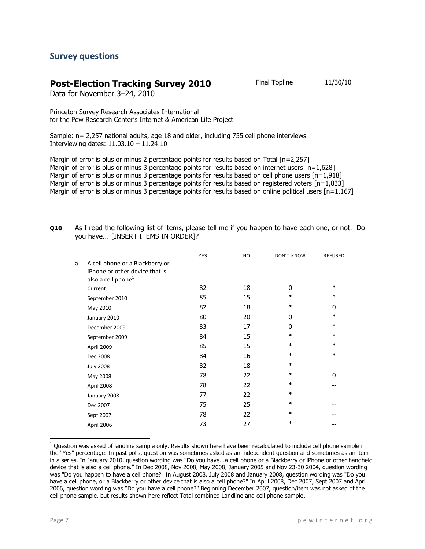#### **Post-Election Tracking Survey 2010** Final Topline 11/30/10

Data for November 3–24, 2010

Princeton Survey Research Associates International for the Pew Research Center's Internet & American Life Project

Sample: n= 2,257 national adults, age 18 and older, including 755 cell phone interviews Interviewing dates: 11.03.10 – 11.24.10

Margin of error is plus or minus 2 percentage points for results based on Total [n=2,257] Margin of error is plus or minus 3 percentage points for results based on internet users [n=1,628] Margin of error is plus or minus 3 percentage points for results based on cell phone users  $[n=1,918]$ Margin of error is plus or minus 3 percentage points for results based on registered voters [n=1,833] Margin of error is plus or minus 3 percentage points for results based on online political users [n=1,167]

| Q10 | As I read the following list of items, please tell me if you happen to have each one, or not. Do |  |  |  |
|-----|--------------------------------------------------------------------------------------------------|--|--|--|
|     | you have [INSERT ITEMS IN ORDER]?                                                                |  |  |  |

|    |                                                                                                     | <b>YES</b> | NO. | <b>DON'T KNOW</b> | REFUSED |
|----|-----------------------------------------------------------------------------------------------------|------------|-----|-------------------|---------|
| a. | A cell phone or a Blackberry or<br>iPhone or other device that is<br>also a cell phone <sup>1</sup> |            |     |                   |         |
|    | Current                                                                                             | 82         | 18  | $\Omega$          | $\ast$  |
|    | September 2010                                                                                      | 85         | 15  | $\ast$            | $\ast$  |
|    | May 2010                                                                                            | 82         | 18  | $\ast$            | 0       |
|    | January 2010                                                                                        | 80         | 20  | 0                 | $\ast$  |
|    | December 2009                                                                                       | 83         | 17  | 0                 | $\ast$  |
|    | September 2009                                                                                      | 84         | 15  | $\ast$            | $\ast$  |
|    | April 2009                                                                                          | 85         | 15  | $\ast$            | $\ast$  |
|    | Dec 2008                                                                                            | 84         | 16  | $\ast$            | $\ast$  |
|    | <b>July 2008</b>                                                                                    | 82         | 18  | $\ast$            | --      |
|    | May 2008                                                                                            | 78         | 22  | $\ast$            | 0       |
|    | April 2008                                                                                          | 78         | 22  | $\ast$            |         |
|    | January 2008                                                                                        | 77         | 22  | $\ast$            |         |
|    | Dec 2007                                                                                            | 75         | 25  | $\ast$            |         |
|    | Sept 2007                                                                                           | 78         | 22  | $\ast$            |         |
|    | April 2006                                                                                          | 73         | 27  | *                 |         |
|    |                                                                                                     |            |     |                   |         |

 $1$  Question was asked of landline sample only. Results shown here have been recalculated to include cell phone sample in the "Yes" percentage. In past polls, question was sometimes asked as an independent question and sometimes as an item in a series. In January 2010, question wording was "Do you have...a cell phone or a Blackberry or iPhone or other handheld device that is also a cell phone." In Dec 2008, Nov 2008, May 2008, January 2005 and Nov 23-30 2004, question wording was "Do you happen to have a cell phone?" In August 2008, July 2008 and January 2008, question wording was "Do you have a cell phone, or a Blackberry or other device that is also a cell phone?" In April 2008, Dec 2007, Sept 2007 and April 2006, question wording was "Do you have a cell phone?" Beginning December 2007, question/item was not asked of the cell phone sample, but results shown here reflect Total combined Landline and cell phone sample.

l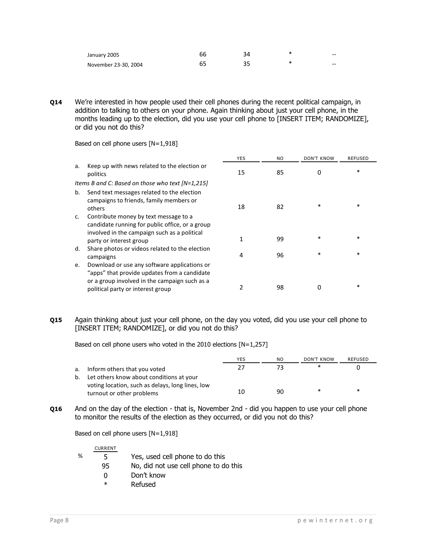| January 2005         | bb | 34 | $- -$ |
|----------------------|----|----|-------|
| November 23-30, 2004 |    |    | --    |

**Q14** We're interested in how people used their cell phones during the recent political campaign, in addition to talking to others on your phone. Again thinking about just your cell phone, in the months leading up to the election, did you use your cell phone to [INSERT ITEM; RANDOMIZE], or did you not do this?

|    |                                                                                                                                                                                    | <b>YES</b> | NO. | <b>DON'T KNOW</b> | <b>REFUSED</b> |
|----|------------------------------------------------------------------------------------------------------------------------------------------------------------------------------------|------------|-----|-------------------|----------------|
| a. | Keep up with news related to the election or<br>politics                                                                                                                           | 15         | 85  | 0                 | $\ast$         |
|    | Items B and C: Based on those who text $[N=1,215]$                                                                                                                                 |            |     |                   |                |
| b. | Send text messages related to the election<br>campaigns to friends, family members or<br>others                                                                                    | 18         | 82  | $\ast$            | *              |
| C. | Contribute money by text message to a<br>candidate running for public office, or a group<br>involved in the campaign such as a political                                           |            |     |                   |                |
|    | party or interest group                                                                                                                                                            | 1          | 99  | $\ast$            | $\ast$         |
| d. | Share photos or videos related to the election<br>campaigns                                                                                                                        | 4          | 96  | $\ast$            | *              |
| е. | Download or use any software applications or<br>"apps" that provide updates from a candidate<br>or a group involved in the campaign such as a<br>political party or interest group | 2          | 98  | 0                 | *              |

Based on cell phone users [N=1,918]

#### **Q15** Again thinking about just your cell phone, on the day you voted, did you use your cell phone to [INSERT ITEM; RANDOMIZE], or did you not do this?

Based on cell phone users who voted in the 2010 elections [N=1,257]

|    |                                                                               | YES | NO | DON'T KNOW | REFUSED |
|----|-------------------------------------------------------------------------------|-----|----|------------|---------|
| a. | Inform others that you voted                                                  | 77  |    | ∗          |         |
| b. | Let others know about conditions at your                                      |     |    |            |         |
|    | voting location, such as delays, long lines, low<br>turnout or other problems | 10  | 90 | ∗          | $\ast$  |

**Q16** And on the day of the election - that is, November 2nd - did you happen to use your cell phone to monitor the results of the election as they occurred, or did you not do this?

Based on cell phone users [N=1,918]

CURRENT

- % 5 Yes, used cell phone to do this
	- 95 No, did not use cell phone to do this
		- 0 Don't know
		- \* Refused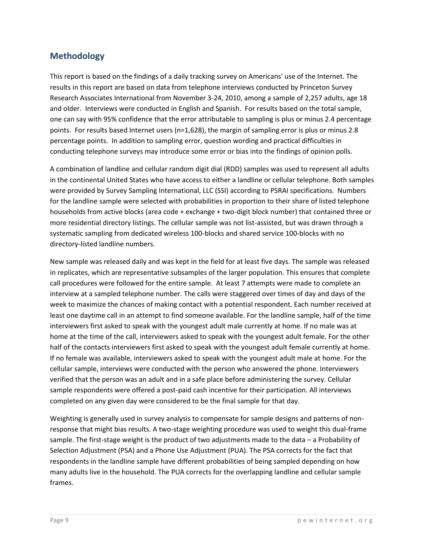## **Methodology**

This report is based on the findings of a daily tracking survey on Americans' use of the Internet. The results in this report are based on data from telephone interviews conducted by Princeton Survey Research Associates International from November 3-24, 2010, among a sample of 2,257 adults, age 18 and older. Interviews were conducted in English and Spanish. For results based on the total sample, one can say with 95% confidence that the error attributable to sampling is plus or minus 2.4 percentage points. For results based Internet users (n=1,628), the margin of sampling error is plus or minus 2.8 percentage points. In addition to sampling error, question wording and practical difficulties in conducting telephone surveys may introduce some error or bias into the findings of opinion polls.

A combination of landline and cellular random digit dial (RDD) samples was used to represent all adults in the continental United States who have access to either a landline or cellular telephone. Both samples were provided by Survey Sampling International, LLC (SSI) according to PSRAI specifications. Numbers for the landline sample were selected with probabilities in proportion to their share of listed telephone households from active blocks (area code + exchange + two-digit block number) that contained three or more residential directory listings. The cellular sample was not list-assisted, but was drawn through a systematic sampling from dedicated wireless 100-blocks and shared service 100-blocks with no directory-listed landline numbers.

New sample was released daily and was kept in the field for at least five days. The sample was released in replicates, which are representative subsamples of the larger population. This ensures that complete call procedures were followed for the entire sample. At least 7 attempts were made to complete an interview at a sampled telephone number. The calls were staggered over times of day and days of the week to maximize the chances of making contact with a potential respondent. Each number received at least one daytime call in an attempt to find someone available. For the landline sample, half of the time interviewers first asked to speak with the youngest adult male currently at home. If no male was at home at the time of the call, interviewers asked to speak with the youngest adult female. For the other half of the contacts interviewers first asked to speak with the youngest adult female currently at home. If no female was available, interviewers asked to speak with the youngest adult male at home. For the cellular sample, interviews were conducted with the person who answered the phone. Interviewers verified that the person was an adult and in a safe place before administering the survey. Cellular sample respondents were offered a post-paid cash incentive for their participation. All interviews completed on any given day were considered to be the final sample for that day.

Weighting is generally used in survey analysis to compensate for sample designs and patterns of nonresponse that might bias results. A two-stage weighting procedure was used to weight this dual-frame sample. The first-stage weight is the product of two adjustments made to the data – a Probability of Selection Adjustment (PSA) and a Phone Use Adjustment (PUA). The PSA corrects for the fact that respondents in the landline sample have different probabilities of being sampled depending on how many adults live in the household. The PUA corrects for the overlapping landline and cellular sample frames.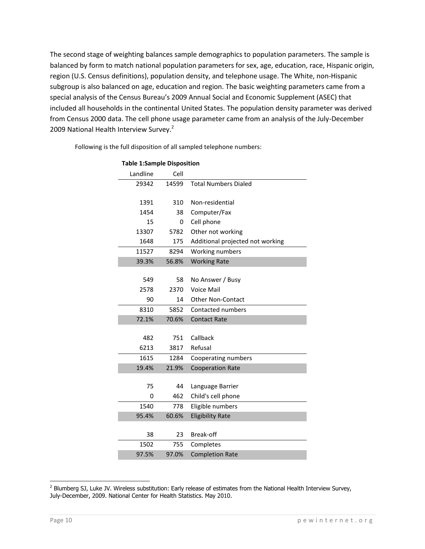The second stage of weighting balances sample demographics to population parameters. The sample is balanced by form to match national population parameters for sex, age, education, race, Hispanic origin, region (U.S. Census definitions), population density, and telephone usage. The White, non-Hispanic subgroup is also balanced on age, education and region. The basic weighting parameters came from a special analysis of the Census Bureau's 2009 Annual Social and Economic Supplement (ASEC) that included all households in the continental United States. The population density parameter was derived from Census 2000 data. The cell phone usage parameter came from an analysis of the July-December 2009 National Health Interview Survey.<sup>2</sup>

Following is the full disposition of all sampled telephone numbers:

| Landline | Cell  |                                  |
|----------|-------|----------------------------------|
| 29342    | 14599 | <b>Total Numbers Dialed</b>      |
|          |       |                                  |
| 1391     | 310   | Non-residential                  |
| 1454     | 38    | Computer/Fax                     |
| 15       | 0     | Cell phone                       |
| 13307    | 5782  | Other not working                |
| 1648     | 175   | Additional projected not working |
| 11527    | 8294  | Working numbers                  |
| 39.3%    | 56.8% | <b>Working Rate</b>              |
|          |       |                                  |
| 549      | 58    | No Answer / Busy                 |
| 2578     | 2370  | Voice Mail                       |
| 90       | 14    | <b>Other Non-Contact</b>         |
| 8310     | 5852  | Contacted numbers                |
| 72.1%    | 70.6% | <b>Contact Rate</b>              |
|          |       |                                  |
| 482      | 751   | Callback                         |
| 6213     | 3817  | Refusal                          |
| 1615     | 1284  | Cooperating numbers              |
| 19.4%    | 21.9% | <b>Cooperation Rate</b>          |
|          |       |                                  |
| 75       | 44    | Language Barrier                 |
| 0        | 462   | Child's cell phone               |
| 1540     | 778   | Eligible numbers                 |
| 95.4%    | 60.6% | <b>Eligibility Rate</b>          |
|          |       |                                  |
| 38       | 23    | Break-off                        |
| 1502     | 755   | Completes                        |
| 97.5%    | 97.0% | <b>Completion Rate</b>           |

#### **Table 1:Sample Disposition**

 2 Blumberg SJ, Luke JV. Wireless substitution: Early release of estimates from the National Health Interview Survey, July-December, 2009. National Center for Health Statistics. May 2010.